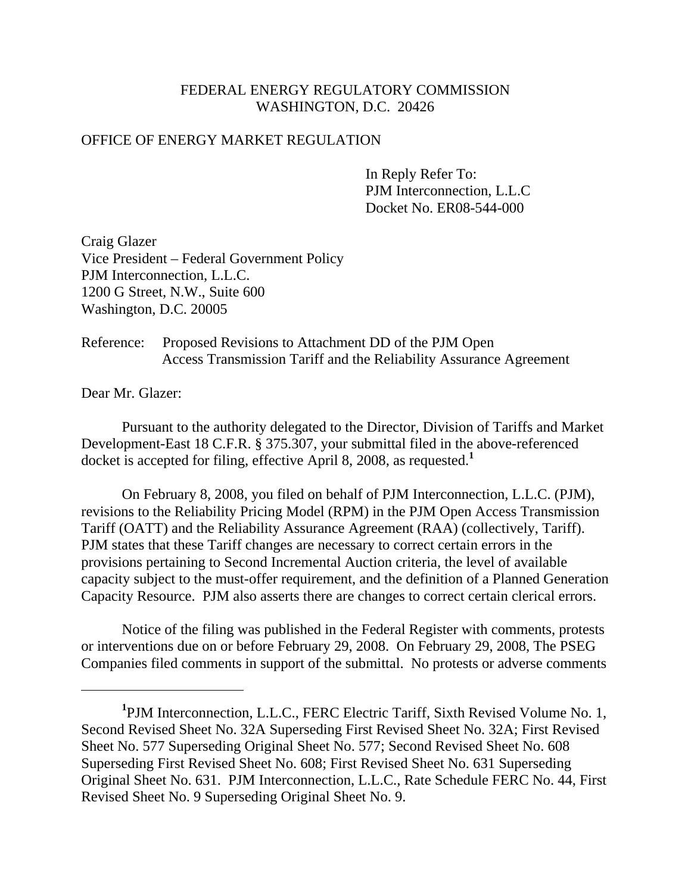## FEDERAL ENERGY REGULATORY COMMISSION WASHINGTON, D.C. 20426

## OFFICE OF ENERGY MARKET REGULATION

 In Reply Refer To: PJM Interconnection, L.L.C Docket No. ER08-544-000

Craig Glazer Vice President – Federal Government Policy PJM Interconnection, L.L.C. 1200 G Street, N.W., Suite 600 Washington, D.C. 20005

## Reference: Proposed Revisions to Attachment DD of the PJM Open Access Transmission Tariff and the Reliability Assurance Agreement

Dear Mr. Glazer:

 $\overline{a}$ 

Pursuant to the authority delegated to the Director, Division of Tariffs and Market Development-East 18 C.F.R. § 375.307, your submittal filed in the above-referenced docket is accepted for filing, effective April 8, 2008, as requested.**<sup>1</sup>**

On February 8, 2008, you filed on behalf of PJM Interconnection, L.L.C. (PJM), revisions to the Reliability Pricing Model (RPM) in the PJM Open Access Transmission Tariff (OATT) and the Reliability Assurance Agreement (RAA) (collectively, Tariff). PJM states that these Tariff changes are necessary to correct certain errors in the provisions pertaining to Second Incremental Auction criteria, the level of available capacity subject to the must-offer requirement, and the definition of a Planned Generation Capacity Resource. PJM also asserts there are changes to correct certain clerical errors.

Notice of the filing was published in the Federal Register with comments, protests or interventions due on or before February 29, 2008. On February 29, 2008, The PSEG Companies filed comments in support of the submittal. No protests or adverse comments

**<sup>1</sup>** PJM Interconnection, L.L.C., FERC Electric Tariff, Sixth Revised Volume No. 1, Second Revised Sheet No. 32A Superseding First Revised Sheet No. 32A; First Revised Sheet No. 577 Superseding Original Sheet No. 577; Second Revised Sheet No. 608 Superseding First Revised Sheet No. 608; First Revised Sheet No. 631 Superseding Original Sheet No. 631. PJM Interconnection, L.L.C., Rate Schedule FERC No. 44, First Revised Sheet No. 9 Superseding Original Sheet No. 9.